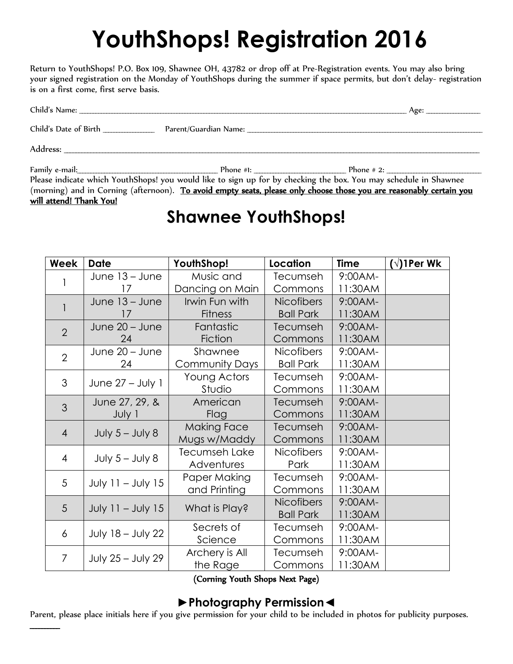# **YouthShops! Registration 2016**

Return to YouthShops! P.O. Box 109, Shawnee OH, 43782 or drop off at Pre-Registration events. You may also bring your signed registration on the Monday of YouthShops during the summer if space permits, but don't delay- registration is on a first come, first serve basis.

|                                      | Age:                                                                                                                |  |
|--------------------------------------|---------------------------------------------------------------------------------------------------------------------|--|
| Child's Date of Birth ______________ |                                                                                                                     |  |
|                                      |                                                                                                                     |  |
|                                      |                                                                                                                     |  |
|                                      | Please indicate which YouthShops! you would like to sign up for by checking the box. You may schedule in Shawnee    |  |
|                                      | (morning) and in Corning (afternoon). To avoid empty seats, please only choose those you are reasonably certain you |  |

#### will attend! Thank You!

# **Shawnee YouthShops!**

| Week           | <b>Date</b>              | YouthShop!            | Location          | <b>Time</b> | $(\sqrt{2})$ Per Wk |
|----------------|--------------------------|-----------------------|-------------------|-------------|---------------------|
|                | June 13 - June           | Music and             | Tecumseh          | 9:00AM-     |                     |
|                | 17                       | Dancing on Main       | Commons           | 11:30AM     |                     |
|                | June 13 - June           | Irwin Fun with        | <b>Nicofibers</b> | 9:00AM-     |                     |
|                | 17                       | <b>Fitness</b>        | <b>Ball Park</b>  | 11:30AM     |                     |
| $\overline{2}$ | June 20 - June           | Fantastic             | Tecumseh          | 9:00AM-     |                     |
|                | 24                       | Fiction               | Commons           | 11:30AM     |                     |
| $\overline{2}$ | June 20 - June           | Shawnee               | <b>Nicofibers</b> | $9:00AM -$  |                     |
|                | 24                       | <b>Community Days</b> | <b>Ball Park</b>  | 11:30AM     |                     |
| 3              | June 27 - July 1         | Young Actors          | Tecumseh          | $9:00AM -$  |                     |
|                |                          | Studio                | Commons           | 11:30AM     |                     |
| 3              | June 27, 29, &           | American              | Tecumseh          | 9:00AM-     |                     |
|                | July 1                   | Flag                  | Commons           | 11:30AM     |                     |
| $\overline{4}$ |                          | <b>Making Face</b>    | Tecumseh          | 9:00AM-     |                     |
|                | July $5 -$ July 8        | Mugs w/Maddy          | Commons           | 11:30AM     |                     |
| $\overline{4}$ | July $5 -$ July 8        | Tecumseh Lake         | <b>Nicofibers</b> | $9:00AM -$  |                     |
|                |                          | Adventures            | Park              | 11:30AM     |                     |
| 5              | July 11 - July 15        | Paper Making          | Tecumseh          | $9:00AM -$  |                     |
|                |                          | and Printing          | Commons           | 11:30AM     |                     |
| 5              | July $11 -$ July 15      | What is Play?         | <b>Nicofibers</b> | 9:00AM-     |                     |
|                |                          |                       | <b>Ball Park</b>  | 11:30AM     |                     |
| 6              | <b>July 18 - July 22</b> | Secrets of            | Tecumseh          | $9:00AM -$  |                     |
|                |                          | Science               | Commons           | 11:30AM     |                     |
| $\overline{7}$ | July 25 - July 29        | Archery is All        | Tecumseh          | $9:00AM -$  |                     |
|                |                          | the Rage              | Commons           | 11:30AM     |                     |

(Corning Youth Shops Next Page)

## **►Photography Permission◄**

Parent, please place initials here if you give permission for your child to be included in photos for publicity purposes.  $\overline{\phantom{a}}$